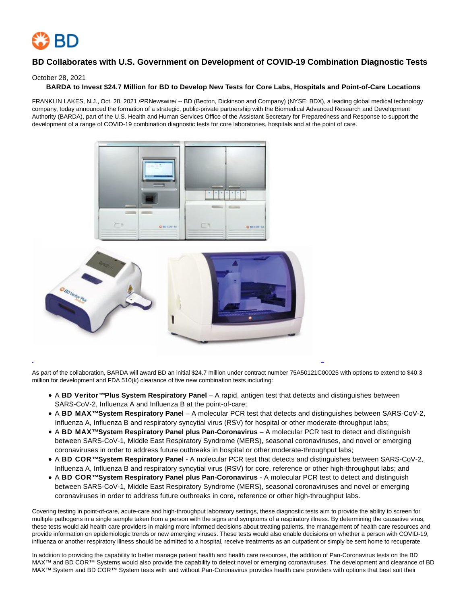

# **BD Collaborates with U.S. Government on Development of COVID-19 Combination Diagnostic Tests**

## October 28, 2021

## **BARDA to Invest \$24.7 Million for BD to Develop New Tests for Core Labs, Hospitals and Point-of-Care Locations**

FRANKLIN LAKES, N.J., Oct. 28, 2021 /PRNewswire/ -- BD (Becton, Dickinson and Company) (NYSE: BDX), a leading global medical technology company, today announced the formation of a strategic, public-private partnership with the Biomedical Advanced Research and Development Authority (BARDA), part of the U.S. Health and Human Services Office of the Assistant Secretary for Preparedness and Response to support the development of a range of COVID-19 combination diagnostic tests for core laboratories, hospitals and at the point of care.



As part of the collaboration, BARDA will award BD an initial \$24.7 million under contract number 75A50121C00025 with options to extend to \$40.3 million for development and FDA 510(k) clearance of five new combination tests including:

- A **BD Veritor™ Plus System Respiratory Panel** A rapid, antigen test that detects and distinguishes between SARS-CoV-2, Influenza A and Influenza B at the point-of-care;
- A **BD MAX™ System Respiratory Panel** A molecular PCR test that detects and distinguishes between SARS-CoV-2, Influenza A, Influenza B and respiratory syncytial virus (RSV) for hospital or other moderate-throughput labs;

L

- A **BD MAX™ System Respiratory Panel plus Pan-Coronavirus** A molecular PCR test to detect and distinguish between SARS-CoV-1, Middle East Respiratory Syndrome (MERS), seasonal coronaviruses, and novel or emerging coronaviruses in order to address future outbreaks in hospital or other moderate-throughput labs;
- A **BD COR™ System Respiratory Panel** A molecular PCR test that detects and distinguishes between SARS-CoV-2, Influenza A, Influenza B and respiratory syncytial virus (RSV) for core, reference or other high-throughput labs; and
- A **BD COR™ System Respiratory Panel plus Pan-Coronavirus** A molecular PCR test to detect and distinguish between SARS-CoV-1, Middle East Respiratory Syndrome (MERS), seasonal coronaviruses and novel or emerging coronaviruses in order to address future outbreaks in core, reference or other high-throughput labs.

Covering testing in point-of-care, acute-care and high-throughput laboratory settings, these diagnostic tests aim to provide the ability to screen for multiple pathogens in a single sample taken from a person with the signs and symptoms of a respiratory illness. By determining the causative virus, these tests would aid health care providers in making more informed decisions about treating patients, the management of health care resources and provide information on epidemiologic trends or new emerging viruses. These tests would also enable decisions on whether a person with COVID-19, influenza or another respiratory illness should be admitted to a hospital, receive treatments as an outpatient or simply be sent home to recuperate.

In addition to providing the capability to better manage patient health and health care resources, the addition of Pan-Coronavirus tests on the BD MAX™ and BD COR™ Systems would also provide the capability to detect novel or emerging coronaviruses. The development and clearance of BD MAX™ System and BD COR™ System tests with and without Pan-Coronavirus provides health care providers with options that best suit their